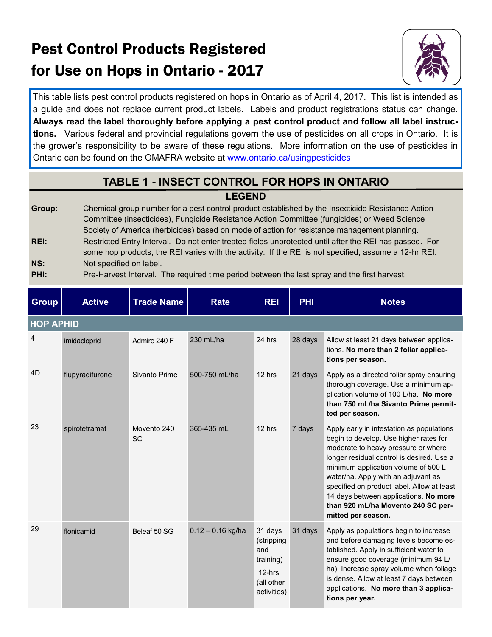# Pest Control Products Registered for Use on Hops in Ontario - 2017



This table lists pest control products registered on hops in Ontario as of April 4, 2017. This list is intended as a guide and does not replace current product labels. Labels and product registrations status can change. **Always read the label thoroughly before applying a pest control product and follow all label instructions.** Various federal and provincial regulations govern the use of pesticides on all crops in Ontario. It is the grower's responsibility to be aware of these regulations. More information on the use of pesticides in Ontario can be found on the OMAFRA website at [www.ontario.ca/usingpesticides](http://www.ontario.ca/usingpesticides)

#### **TABLE 1 - INSECT CONTROL FOR HOPS IN ONTARIO**

#### **LEGEND**

**Group:** Chemical group number for a pest control product established by the Insecticide Resistance Action Committee (insecticides), Fungicide Resistance Action Committee (fungicides) or Weed Science Society of America (herbicides) based on mode of action for resistance management planning. **REI:** Restricted Entry Interval. Do not enter treated fields unprotected until after the REI has passed. For some hop products, the REI varies with the activity. If the REI is not specified, assume a 12-hr REI. **NS:** Not specified on label.

| PHI: | Pre-Harvest Interval. The required time period between the last spray and the first harvest. |
|------|----------------------------------------------------------------------------------------------|
|------|----------------------------------------------------------------------------------------------|

| <b>Group</b> | <b>Active</b>    | <b>Trade Name</b>        | <b>Rate</b>         | <b>REI</b>                                                                         | <b>PHI</b> | <b>Notes</b>                                                                                                                                                                                                                                                                                                                                                                                             |  |  |  |  |  |
|--------------|------------------|--------------------------|---------------------|------------------------------------------------------------------------------------|------------|----------------------------------------------------------------------------------------------------------------------------------------------------------------------------------------------------------------------------------------------------------------------------------------------------------------------------------------------------------------------------------------------------------|--|--|--|--|--|
|              | <b>HOP APHID</b> |                          |                     |                                                                                    |            |                                                                                                                                                                                                                                                                                                                                                                                                          |  |  |  |  |  |
| 4            | imidacloprid     | Admire 240 F             | 230 mL/ha           | 24 hrs                                                                             | 28 days    | Allow at least 21 days between applica-<br>tions. No more than 2 foliar applica-<br>tions per season.                                                                                                                                                                                                                                                                                                    |  |  |  |  |  |
| 4D           | flupyradifurone  | Sivanto Prime            | 500-750 mL/ha       | 12 hrs                                                                             | 21 days    | Apply as a directed foliar spray ensuring<br>thorough coverage. Use a minimum ap-<br>plication volume of 100 L/ha. No more<br>than 750 mL/ha Sivanto Prime permit-<br>ted per season.                                                                                                                                                                                                                    |  |  |  |  |  |
| 23           | spirotetramat    | Movento 240<br><b>SC</b> | 365-435 mL          | 12 hrs                                                                             | 7 days     | Apply early in infestation as populations<br>begin to develop. Use higher rates for<br>moderate to heavy pressure or where<br>longer residual control is desired. Use a<br>minimum application volume of 500 L<br>water/ha. Apply with an adjuvant as<br>specified on product label. Allow at least<br>14 days between applications. No more<br>than 920 mL/ha Movento 240 SC per-<br>mitted per season. |  |  |  |  |  |
| 29           | flonicamid       | Beleaf 50 SG             | $0.12 - 0.16$ kg/ha | 31 days<br>(stripping<br>and<br>training)<br>$12-hrs$<br>(all other<br>activities) | 31 days    | Apply as populations begin to increase<br>and before damaging levels become es-<br>tablished. Apply in sufficient water to<br>ensure good coverage (minimum 94 L/<br>ha). Increase spray volume when foliage<br>is dense. Allow at least 7 days between<br>applications. No more than 3 applica-<br>tions per year.                                                                                      |  |  |  |  |  |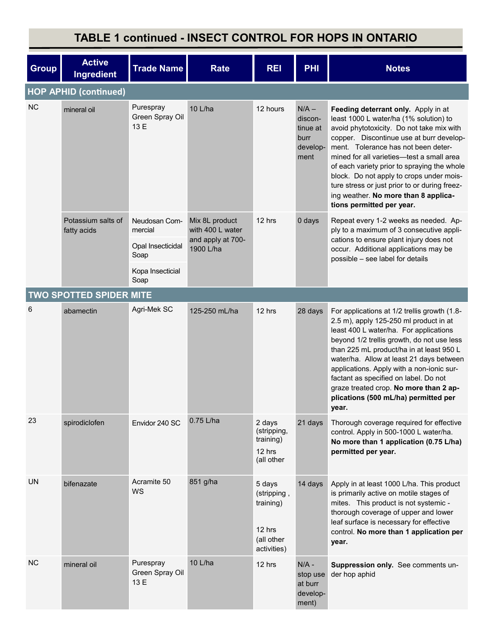### **TABLE 1 continued - INSECT CONTROL FOR HOPS IN ONTARIO**

| <b>Group</b> | <b>Active</b><br>Ingredient       | <b>Trade Name</b>                                     | <b>Rate</b>                                                          | <b>REI</b>                                                                | <b>PHI</b>                                                 | <b>Notes</b>                                                                                                                                                                                                                                                                                                                                                                                                                                                                |
|--------------|-----------------------------------|-------------------------------------------------------|----------------------------------------------------------------------|---------------------------------------------------------------------------|------------------------------------------------------------|-----------------------------------------------------------------------------------------------------------------------------------------------------------------------------------------------------------------------------------------------------------------------------------------------------------------------------------------------------------------------------------------------------------------------------------------------------------------------------|
|              | <b>HOP APHID (continued)</b>      |                                                       |                                                                      |                                                                           |                                                            |                                                                                                                                                                                                                                                                                                                                                                                                                                                                             |
| NC.          | mineral oil                       | Purespray<br>Green Spray Oil<br>13 E                  | 10 L/ha                                                              | 12 hours                                                                  | $N/A -$<br>discon-<br>tinue at<br>burr<br>develop-<br>ment | Feeding deterrant only. Apply in at<br>least 1000 L water/ha (1% solution) to<br>avoid phytotoxicity. Do not take mix with<br>copper. Discontinue use at burr develop-<br>ment. Tolerance has not been deter-<br>mined for all varieties-test a small area<br>of each variety prior to spraying the whole<br>block. Do not apply to crops under mois-<br>ture stress or just prior to or during freez-<br>ing weather. No more than 8 applica-<br>tions permitted per year. |
|              | Potassium salts of<br>fatty acids | Neudosan Com-<br>mercial<br>Opal Insecticidal<br>Soap | Mix 8L product<br>with 400 L water<br>and apply at 700-<br>1900 L/ha | 12 hrs                                                                    | 0 days                                                     | Repeat every 1-2 weeks as needed. Ap-<br>ply to a maximum of 3 consecutive appli-<br>cations to ensure plant injury does not<br>occur. Additional applications may be<br>possible - see label for details                                                                                                                                                                                                                                                                   |
|              |                                   | Kopa Insecticial<br>Soap                              |                                                                      |                                                                           |                                                            |                                                                                                                                                                                                                                                                                                                                                                                                                                                                             |
|              | <b>TWO SPOTTED SPIDER MITE</b>    |                                                       |                                                                      |                                                                           |                                                            |                                                                                                                                                                                                                                                                                                                                                                                                                                                                             |
| 6            | abamectin                         | Agri-Mek SC                                           | 125-250 mL/ha                                                        | 12 hrs                                                                    | 28 days                                                    | For applications at 1/2 trellis growth (1.8-<br>2.5 m), apply 125-250 ml product in at<br>least 400 L water/ha. For applications<br>beyond 1/2 trellis growth, do not use less<br>than 225 mL product/ha in at least 950 L<br>water/ha. Allow at least 21 days between<br>applications. Apply with a non-ionic sur-<br>factant as specified on label. Do not<br>graze treated crop. No more than 2 ap-<br>plications (500 mL/ha) permitted per<br>year.                     |
| 23           | spirodiclofen                     | Envidor 240 SC                                        | 0.75 L/ha                                                            | 2 days<br>(stripping,<br>training)<br>12 hrs<br>(all other                | 21 days                                                    | Thorough coverage required for effective<br>control. Apply in 500-1000 L water/ha.<br>No more than 1 application (0.75 L/ha)<br>permitted per year.                                                                                                                                                                                                                                                                                                                         |
| <b>UN</b>    | bifenazate                        | Acramite 50<br>WS                                     | 851 g/ha                                                             | 5 days<br>(stripping,<br>training)<br>12 hrs<br>(all other<br>activities) | 14 days                                                    | Apply in at least 1000 L/ha. This product<br>is primarily active on motile stages of<br>mites. This product is not systemic -<br>thorough coverage of upper and lower<br>leaf surface is necessary for effective<br>control. No more than 1 application per<br>year.                                                                                                                                                                                                        |
| <b>NC</b>    | mineral oil                       | Purespray<br>Green Spray Oil<br>13 E                  | 10 L/ha                                                              | 12 hrs                                                                    | $N/A -$<br>stop use<br>at burr<br>develop-<br>ment)        | Suppression only. See comments un-<br>der hop aphid                                                                                                                                                                                                                                                                                                                                                                                                                         |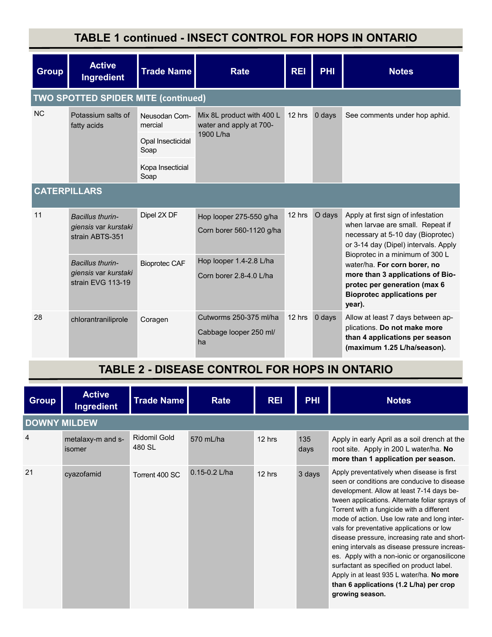### **TABLE 1 continued - INSECT CONTROL FOR HOPS IN ONTARIO**

| <b>Group</b>        | <b>Active</b><br>Ingredient                                   | <b>Trade Name</b>                             | <b>Rate</b>                                                       | <b>REI</b> | PHI    | <b>Notes</b>                                                                                                                                                                       |
|---------------------|---------------------------------------------------------------|-----------------------------------------------|-------------------------------------------------------------------|------------|--------|------------------------------------------------------------------------------------------------------------------------------------------------------------------------------------|
|                     | <b>TWO SPOTTED SPIDER MITE (continued)</b>                    |                                               |                                                                   |            |        |                                                                                                                                                                                    |
| <b>NC</b>           | Potassium salts of<br>fatty acids                             | Neusodan Com-<br>mercial<br>Opal Insecticidal | Mix 8L product with 400 L<br>water and apply at 700-<br>1900 L/ha | 12 hrs     | 0 days | See comments under hop aphid.                                                                                                                                                      |
|                     |                                                               | Soap<br>Kopa Insecticial<br>Soap              |                                                                   |            |        |                                                                                                                                                                                    |
| <b>CATERPILLARS</b> |                                                               |                                               |                                                                   |            |        |                                                                                                                                                                                    |
| 11                  | Bacillus thurin-<br>giensis var kurstaki<br>strain ABTS-351   | Dipel 2X DF                                   | Hop looper 275-550 g/ha<br>Corn borer 560-1120 g/ha               | 12 hrs     | O days | Apply at first sign of infestation<br>when larvae are small. Repeat if<br>necessary at 5-10 day (Bioprotec)<br>or 3-14 day (Dipel) intervals. Apply                                |
|                     | Bacillus thurin-<br>giensis var kurstaki<br>strain EVG 113-19 | <b>Bioprotec CAF</b>                          | Hop looper 1.4-2.8 L/ha<br>Corn borer 2.8-4.0 L/ha                |            |        | Bioprotec in a minimum of 300 L<br>water/ha. For corn borer, no<br>more than 3 applications of Bio-<br>protec per generation (max 6<br><b>Bioprotec applications per</b><br>year). |
| 28                  | chlorantraniliprole                                           | Coragen                                       | Cutworms 250-375 ml/ha<br>Cabbage looper 250 ml/<br>ha            | 12 hrs     | 0 days | Allow at least 7 days between ap-<br>plications. Do not make more<br>than 4 applications per season<br>(maximum 1.25 L/ha/season).                                                 |

#### **TABLE 2 - DISEASE CONTROL FOR HOPS IN ONTARIO**

| <b>Group</b>        | <b>Active</b><br>Ingredient | <b>Trade Name</b>      | Rate              | <b>REI</b> | <b>PHI</b>  | <b>Notes</b>                                                                                                                                                                                                                                                                                                                                                                                                                                                                                                                                                                                                                               |
|---------------------|-----------------------------|------------------------|-------------------|------------|-------------|--------------------------------------------------------------------------------------------------------------------------------------------------------------------------------------------------------------------------------------------------------------------------------------------------------------------------------------------------------------------------------------------------------------------------------------------------------------------------------------------------------------------------------------------------------------------------------------------------------------------------------------------|
| <b>DOWNY MILDEW</b> |                             |                        |                   |            |             |                                                                                                                                                                                                                                                                                                                                                                                                                                                                                                                                                                                                                                            |
| $\overline{4}$      | metalaxy-m and s-<br>isomer | Ridomil Gold<br>480 SL | 570 mL/ha         | 12 hrs     | 135<br>days | Apply in early April as a soil drench at the<br>root site. Apply in 200 L water/ha. No<br>more than 1 application per season.                                                                                                                                                                                                                                                                                                                                                                                                                                                                                                              |
| 21                  | cyazofamid                  | Torrent 400 SC         | $0.15 - 0.2$ L/ha | 12 hrs     | 3 days      | Apply preventatively when disease is first<br>seen or conditions are conducive to disease<br>development. Allow at least 7-14 days be-<br>tween applications. Alternate foliar sprays of<br>Torrent with a fungicide with a different<br>mode of action. Use low rate and long inter-<br>vals for preventative applications or low<br>disease pressure, increasing rate and short-<br>ening intervals as disease pressure increas-<br>es. Apply with a non-ionic or organosilicone<br>surfactant as specified on product label.<br>Apply in at least 935 L water/ha. No more<br>than 6 applications (1.2 L/ha) per crop<br>growing season. |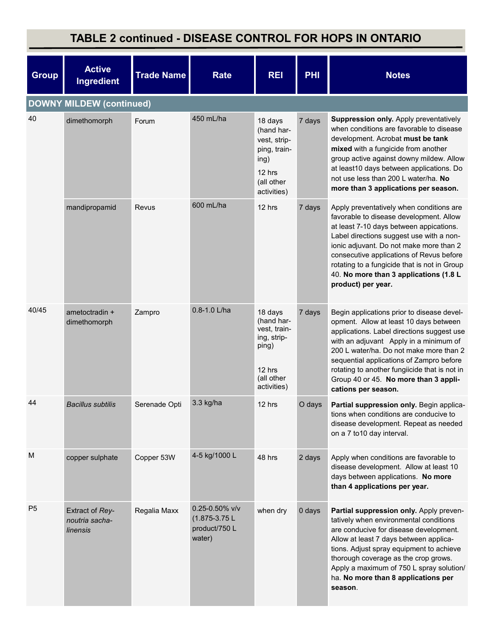### **TABLE 2 continued - DISEASE CONTROL FOR HOPS IN ONTARIO**

| <b>Group</b>   | <b>Active</b><br><b>Ingredient</b>            | <b>Trade Name</b> | <b>Rate</b>                                                         | <b>REI</b>                                                                                           | <b>PHI</b> | <b>Notes</b>                                                                                                                                                                                                                                                                                                                                                                         |
|----------------|-----------------------------------------------|-------------------|---------------------------------------------------------------------|------------------------------------------------------------------------------------------------------|------------|--------------------------------------------------------------------------------------------------------------------------------------------------------------------------------------------------------------------------------------------------------------------------------------------------------------------------------------------------------------------------------------|
|                | <b>DOWNY MILDEW (continued)</b>               |                   |                                                                     |                                                                                                      |            |                                                                                                                                                                                                                                                                                                                                                                                      |
| 40             | dimethomorph                                  | Forum             | 450 mL/ha                                                           | 18 days<br>(hand har-<br>vest, strip-<br>ping, train-<br>ing)<br>12 hrs<br>(all other<br>activities) | 7 days     | Suppression only. Apply preventatively<br>when conditions are favorable to disease<br>development. Acrobat must be tank<br>mixed with a fungicide from another<br>group active against downy mildew. Allow<br>at least10 days between applications. Do<br>not use less than 200 L water/ha. No<br>more than 3 applications per season.                                               |
|                | mandipropamid                                 | Revus             | 600 mL/ha                                                           | 12 hrs                                                                                               | 7 days     | Apply preventatively when conditions are<br>favorable to disease development. Allow<br>at least 7-10 days between appications.<br>Label directions suggest use with a non-<br>ionic adjuvant. Do not make more than 2<br>consecutive applications of Revus before<br>rotating to a fungicide that is not in Group<br>40. No more than 3 applications (1.8 L<br>product) per year.    |
| 40/45          | ametoctradin +<br>dimethomorph                | Zampro            | 0.8-1.0 L/ha                                                        | 18 days<br>(hand har-<br>vest, train-<br>ing, strip-<br>ping)<br>12 hrs<br>(all other<br>activities) | 7 days     | Begin applications prior to disease devel-<br>opment. Allow at least 10 days between<br>applications. Label directions suggest use<br>with an adjuvant Apply in a minimum of<br>200 L water/ha. Do not make more than 2<br>sequential applications of Zampro before<br>rotating to another fungiicide that is not in<br>Group 40 or 45. No more than 3 appli-<br>cations per season. |
| 44             | <b>Bacillus subtilis</b>                      | Serenade Opti     | 3.3 kg/ha                                                           | 12 hrs                                                                                               | O days     | Partial suppression only. Begin applica-<br>tions when conditions are conducive to<br>disease development. Repeat as needed<br>on a 7 to 10 day interval.                                                                                                                                                                                                                            |
| M              | copper sulphate                               | Copper 53W        | 4-5 kg/1000 L                                                       | 48 hrs                                                                                               | 2 days     | Apply when conditions are favorable to<br>disease development. Allow at least 10<br>days between applications. No more<br>than 4 applications per year.                                                                                                                                                                                                                              |
| P <sub>5</sub> | Extract of Rey-<br>noutria sacha-<br>linensis | Regalia Maxx      | $0.25 - 0.50\%$ v/v<br>$(1.875 - 3.75L)$<br>product/750 L<br>water) | when dry                                                                                             | 0 days     | Partial suppression only. Apply preven-<br>tatively when environmental conditions<br>are conducive for disease development.<br>Allow at least 7 days between applica-<br>tions. Adjust spray equipment to achieve<br>thorough coverage as the crop grows.<br>Apply a maximum of 750 L spray solution/<br>ha. No more than 8 applications per<br>season.                              |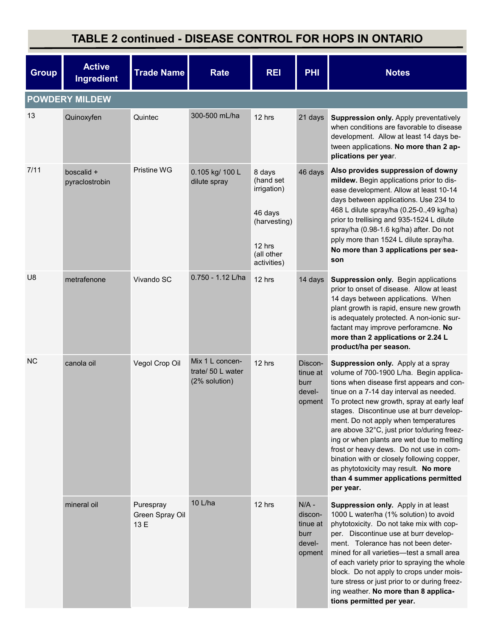### **TABLE 2 continued - DISEASE CONTROL FOR HOPS IN ONTARIO**

| <b>Group</b>          | <b>Active</b><br>Ingredient  | <b>Trade Name</b>                    | Rate                                                  | <b>REI</b>                                                                                                   | <b>PHI</b>                                                 | <b>Notes</b>                                                                                                                                                                                                                                                                                                                                                                                                                                                                                                                                                                              |  |  |  |
|-----------------------|------------------------------|--------------------------------------|-------------------------------------------------------|--------------------------------------------------------------------------------------------------------------|------------------------------------------------------------|-------------------------------------------------------------------------------------------------------------------------------------------------------------------------------------------------------------------------------------------------------------------------------------------------------------------------------------------------------------------------------------------------------------------------------------------------------------------------------------------------------------------------------------------------------------------------------------------|--|--|--|
| <b>POWDERY MILDEW</b> |                              |                                      |                                                       |                                                                                                              |                                                            |                                                                                                                                                                                                                                                                                                                                                                                                                                                                                                                                                                                           |  |  |  |
| 13                    | Quinoxyfen                   | Quintec                              | 300-500 mL/ha                                         | 12 hrs                                                                                                       | 21 days                                                    | Suppression only. Apply preventatively<br>when conditions are favorable to disease<br>development. Allow at least 14 days be-<br>tween applications. No more than 2 ap-<br>plications per year.                                                                                                                                                                                                                                                                                                                                                                                           |  |  |  |
| 7/11                  | boscalid +<br>pyraclostrobin | Pristine WG                          | 0.105 kg/ 100 L<br>dilute spray                       | 8 days<br>(hand set<br><i>irrigation</i> )<br>46 days<br>(harvesting)<br>12 hrs<br>(all other<br>activities) | 46 days                                                    | Also provides suppression of downy<br>mildew. Begin applications prior to dis-<br>ease development. Allow at least 10-14<br>days between applications. Use 234 to<br>468 L dilute spray/ha (0.25-0.,49 kg/ha)<br>prior to trellising and 935-1524 L dilute<br>spray/ha (0.98-1.6 kg/ha) after. Do not<br>pply more than 1524 L dilute spray/ha.<br>No more than 3 applications per sea-<br>son                                                                                                                                                                                            |  |  |  |
| U8                    | metrafenone                  | Vivando SC                           | $0.750 - 1.12$ L/ha                                   | 12 hrs                                                                                                       | 14 days                                                    | Suppression only. Begin applications<br>prior to onset of disease. Allow at least<br>14 days between applications. When<br>plant growth is rapid, ensure new growth<br>is adequately protected. A non-ionic sur-<br>factant may improve perforamcne. No<br>more than 2 applications or 2.24 L<br>product/ha per season.                                                                                                                                                                                                                                                                   |  |  |  |
| <b>NC</b>             | canola oil                   | Vegol Crop Oil                       | Mix 1 L concen-<br>trate/ 50 L water<br>(2% solution) | 12 hrs                                                                                                       | Discon-<br>tinue at<br>burr<br>devel-<br>opment            | Suppression only. Apply at a spray<br>volume of 700-1900 L/ha. Begin applica-<br>tions when disease first appears and con-<br>tinue on a 7-14 day interval as needed.<br>To protect new growth, spray at early leaf<br>stages. Discontinue use at burr develop-<br>ment. Do not apply when temperatures<br>are above 32°C, just prior to/during freez-<br>ing or when plants are wet due to melting<br>frost or heavy dews. Do not use in com-<br>bination with or closely following copper,<br>as phytotoxicity may result. No more<br>than 4 summer applications permitted<br>per year. |  |  |  |
|                       | mineral oil                  | Purespray<br>Green Spray Oil<br>13 E | 10 L/ha                                               | 12 hrs                                                                                                       | $N/A -$<br>discon-<br>tinue at<br>burr<br>devel-<br>opment | Suppression only. Apply in at least<br>1000 L water/ha (1% solution) to avoid<br>phytotoxicity. Do not take mix with cop-<br>per. Discontinue use at burr develop-<br>ment. Tolerance has not been deter-<br>mined for all varieties-test a small area<br>of each variety prior to spraying the whole<br>block. Do not apply to crops under mois-<br>ture stress or just prior to or during freez-<br>ing weather. No more than 8 applica-<br>tions permitted per year.                                                                                                                   |  |  |  |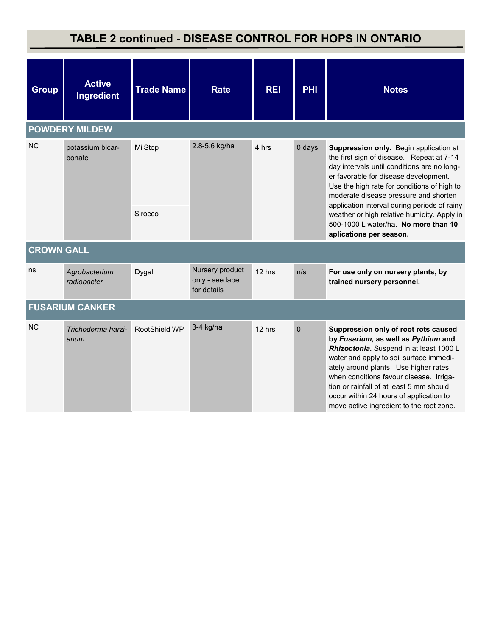### **TABLE 2 continued - DISEASE CONTROL FOR HOPS IN ONTARIO**

| <b>Group</b>      | <b>Active</b><br><b>Ingredient</b> | <b>Trade Name</b> | <b>Rate</b>                                        | <b>REI</b>                                             | <b>PHI</b>                                                                                                                                                                                                                                                          | <b>Notes</b>                                                                                                                                                                                                                                                                                                                                                                             |
|-------------------|------------------------------------|-------------------|----------------------------------------------------|--------------------------------------------------------|---------------------------------------------------------------------------------------------------------------------------------------------------------------------------------------------------------------------------------------------------------------------|------------------------------------------------------------------------------------------------------------------------------------------------------------------------------------------------------------------------------------------------------------------------------------------------------------------------------------------------------------------------------------------|
|                   | <b>POWDERY MILDEW</b>              |                   |                                                    |                                                        |                                                                                                                                                                                                                                                                     |                                                                                                                                                                                                                                                                                                                                                                                          |
| <b>NC</b>         | potassium bicar-<br>bonate         | MilStop           | 2.8-5.6 kg/ha<br>4 hrs                             | 0 days<br>application interval during periods of rainy | Suppression only. Begin application at<br>the first sign of disease. Repeat at 7-14<br>day intervals until conditions are no long-<br>er favorable for disease development.<br>Use the high rate for conditions of high to<br>moderate disease pressure and shorten |                                                                                                                                                                                                                                                                                                                                                                                          |
|                   |                                    | Sirocco           |                                                    |                                                        |                                                                                                                                                                                                                                                                     | weather or high relative humidity. Apply in<br>500-1000 L water/ha. No more than 10<br>aplications per season.                                                                                                                                                                                                                                                                           |
| <b>CROWN GALL</b> |                                    |                   |                                                    |                                                        |                                                                                                                                                                                                                                                                     |                                                                                                                                                                                                                                                                                                                                                                                          |
| ns                | Agrobacterium<br>radiobacter       | Dygall            | Nursery product<br>only - see label<br>for details | 12 hrs                                                 | n/s                                                                                                                                                                                                                                                                 | For use only on nursery plants, by<br>trained nursery personnel.                                                                                                                                                                                                                                                                                                                         |
|                   | <b>FUSARIUM CANKER</b>             |                   |                                                    |                                                        |                                                                                                                                                                                                                                                                     |                                                                                                                                                                                                                                                                                                                                                                                          |
| <b>NC</b>         | Trichoderma harzi-<br>anum         | RootShield WP     | 3-4 kg/ha                                          | 12 hrs                                                 | $\mathbf 0$                                                                                                                                                                                                                                                         | Suppression only of root rots caused<br>by Fusarium, as well as Pythium and<br>Rhizoctonia. Suspend in at least 1000 L<br>water and apply to soil surface immedi-<br>ately around plants. Use higher rates<br>when conditions favour disease. Irriga-<br>tion or rainfall of at least 5 mm should<br>occur within 24 hours of application to<br>move active ingredient to the root zone. |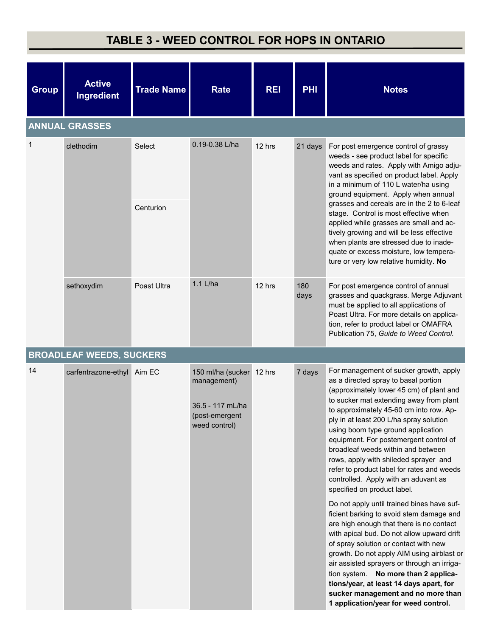### **TABLE 3 - WEED CONTROL FOR HOPS IN ONTARIO**

| <b>Group</b> | <b>Active</b><br>Ingredient     | <b>Trade Name</b> | <b>Rate</b>                                                                                    | <b>REI</b> | <b>PHI</b>  | <b>Notes</b>                                                                                                                                                                                                                                                                                                                                                                                                                                                                                                                                    |
|--------------|---------------------------------|-------------------|------------------------------------------------------------------------------------------------|------------|-------------|-------------------------------------------------------------------------------------------------------------------------------------------------------------------------------------------------------------------------------------------------------------------------------------------------------------------------------------------------------------------------------------------------------------------------------------------------------------------------------------------------------------------------------------------------|
|              | <b>ANNUAL GRASSES</b>           |                   |                                                                                                |            |             |                                                                                                                                                                                                                                                                                                                                                                                                                                                                                                                                                 |
| $\mathbf 1$  | clethodim                       | Select            | 0.19-0.38 L/ha                                                                                 | 12 hrs     | 21 days     | For post emergence control of grassy<br>weeds - see product label for specific<br>weeds and rates. Apply with Amigo adju-<br>vant as specified on product label. Apply<br>in a minimum of 110 L water/ha using<br>ground equipment. Apply when annual                                                                                                                                                                                                                                                                                           |
|              |                                 | Centurion         |                                                                                                |            |             | grasses and cereals are in the 2 to 6-leaf<br>stage. Control is most effective when<br>applied while grasses are small and ac-<br>tively growing and will be less effective<br>when plants are stressed due to inade-<br>quate or excess moisture, low tempera-<br>ture or very low relative humidity. No                                                                                                                                                                                                                                       |
|              | sethoxydim                      | Poast Ultra       | 1.1 L/ha                                                                                       | 12 hrs     | 180<br>days | For post emergence control of annual<br>grasses and quackgrass. Merge Adjuvant<br>must be applied to all applications of<br>Poast Ultra. For more details on applica-<br>tion, refer to product label or OMAFRA<br>Publication 75, Guide to Weed Control.                                                                                                                                                                                                                                                                                       |
|              | <b>BROADLEAF WEEDS, SUCKERS</b> |                   |                                                                                                |            |             |                                                                                                                                                                                                                                                                                                                                                                                                                                                                                                                                                 |
| 14           | carfentrazone-ethyl Aim EC      |                   | 150 ml/ha (sucker 12 hrs<br>management)<br>36.5 - 117 mL/ha<br>(post-emergent<br>weed control) |            | 7 days      | For management of sucker growth, apply<br>as a directed spray to basal portion<br>(approximately lower 45 cm) of plant and<br>to sucker mat extending away from plant<br>to approximately 45-60 cm into row. Ap-<br>ply in at least 200 L/ha spray solution<br>using boom type ground application<br>equipment. For postemergent control of<br>broadleaf weeds within and between<br>rows, apply with shileded sprayer and<br>refer to product label for rates and weeds<br>controlled. Apply with an aduvant as<br>specified on product label. |
|              |                                 |                   |                                                                                                |            |             | Do not apply until trained bines have suf-<br>ficient barking to avoid stem damage and<br>are high enough that there is no contact<br>with apical bud. Do not allow upward drift<br>of spray solution or contact with new<br>growth. Do not apply AIM using airblast or<br>air assisted sprayers or through an irriga-<br>tion system. No more than 2 applica-<br>tions/year, at least 14 days apart, for<br>sucker management and no more than<br>1 application/year for weed control.                                                         |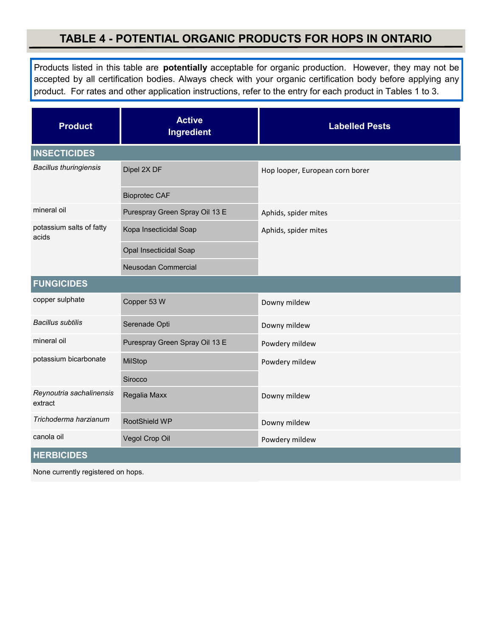#### **TABLE 4 - POTENTIAL ORGANIC PRODUCTS FOR HOPS IN ONTARIO**

Products listed in this table are **potentially** acceptable for organic production. However, they may not be accepted by all certification bodies. Always check with your organic certification body before applying any product. For rates and other application instructions, refer to the entry for each product in Tables 1 to 3.

| <b>Product</b>                      | <b>Active</b><br>Ingredient    | <b>Labelled Pests</b>           |  |  |
|-------------------------------------|--------------------------------|---------------------------------|--|--|
| <b>INSECTICIDES</b>                 |                                |                                 |  |  |
| <b>Bacillus thuringiensis</b>       | Dipel 2X DF                    | Hop looper, European corn borer |  |  |
|                                     | <b>Bioprotec CAF</b>           |                                 |  |  |
| mineral oil                         | Purespray Green Spray Oil 13 E | Aphids, spider mites            |  |  |
| potassium salts of fatty<br>acids   | Kopa Insecticidal Soap         | Aphids, spider mites            |  |  |
|                                     | Opal Insecticidal Soap         |                                 |  |  |
|                                     | Neusodan Commercial            |                                 |  |  |
| <b>FUNGICIDES</b>                   |                                |                                 |  |  |
| copper sulphate                     | Copper 53 W                    | Downy mildew                    |  |  |
| <b>Bacillus subtilis</b>            | Serenade Opti                  | Downy mildew                    |  |  |
| mineral oil                         | Purespray Green Spray Oil 13 E | Powdery mildew                  |  |  |
| potassium bicarbonate               | MilStop                        | Powdery mildew                  |  |  |
|                                     | Sirocco                        |                                 |  |  |
| Reynoutria sachalinensis<br>extract | Regalia Maxx                   | Downy mildew                    |  |  |
| Trichoderma harzianum               | RootShield WP                  | Downy mildew                    |  |  |
| canola oil                          | Vegol Crop Oil                 | Powdery mildew                  |  |  |
| <b>HERBICIDES</b>                   |                                |                                 |  |  |

None currently registered on hops.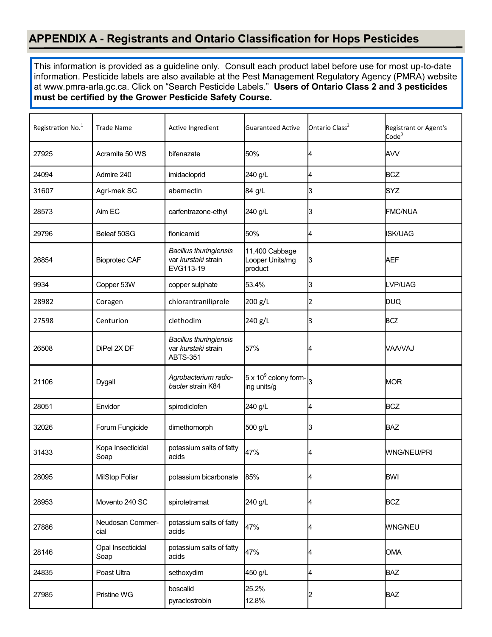#### **APPENDIX A - Registrants and Ontario Classification for Hops Pesticides**

This information is provided as a guideline only. Consult each product label before use for most up-to-date information. Pesticide labels are also available at the Pest Management Regulatory Agency (PMRA) website at [www.pmra](http://www.pmra-arla.gc.ca)-arla.gc.ca. Click on "Search Pesticide Labels." **Users of Ontario Class 2 and 3 pesticides must be certified by the Grower Pesticide Safety Course.**

| Registration No. <sup>1</sup> | <b>Trade Name</b>         | Active Ingredient                                                       | <b>Guaranteed Active</b>                     | Ontario Class <sup>2</sup> | Registrant or Agent's<br>Code <sup>3</sup> |
|-------------------------------|---------------------------|-------------------------------------------------------------------------|----------------------------------------------|----------------------------|--------------------------------------------|
| 27925                         | Acramite 50 WS            | bifenazate                                                              | 50%                                          |                            | <b>AVV</b>                                 |
| 24094                         | Admire 240                | imidacloprid                                                            | 240 g/L                                      | 4                          | <b>BCZ</b>                                 |
| 31607                         | Agri-mek SC               | abamectin                                                               | 84 g/L                                       | З                          | SYZ                                        |
| 28573                         | Aim EC                    | carfentrazone-ethyl                                                     | 240 g/L                                      | IЗ                         | <b>FMC/NUA</b>                             |
| 29796                         | Beleaf 50SG               | flonicamid                                                              | 50%                                          | 4                          | <b>ISK/UAG</b>                             |
| 26854                         | <b>Bioprotec CAF</b>      | <b>Bacillus thuringiensis</b><br>var kurstaki strain<br>EVG113-19       | 11,400 Cabbage<br>Looper Units/mg<br>product | IЗ                         | AEF                                        |
| 9934                          | Copper 53W                | copper sulphate                                                         | 53.4%                                        | 3                          | LVP/UAG                                    |
| 28982                         | Coragen                   | chlorantraniliprole                                                     | 200 g/L                                      | 12                         | <b>DUQ</b>                                 |
| 27598                         | Centurion                 | clethodim                                                               | 240 g/L                                      | IЗ                         | <b>BCZ</b>                                 |
| 26508                         | DiPel 2X DF               | <b>Bacillus thuringiensis</b><br>var kurstaki strain<br><b>ABTS-351</b> | 57%                                          |                            | VAA/VAJ                                    |
| 21106                         | Dygall                    | Agrobacterium radio-<br>bacter strain K84                               | $5 \times 10^9$ colony form-<br>ing units/g  |                            | <b>MOR</b>                                 |
| 28051                         | Envidor                   | spirodiclofen                                                           | 240 g/L                                      | 4                          | <b>BCZ</b>                                 |
| 32026                         | Forum Fungicide           | dimethomorph                                                            | 500 g/L                                      | IЗ                         | <b>BAZ</b>                                 |
| 31433                         | Kopa Insecticidal<br>Soap | potassium salts of fatty<br>acids                                       | 47%                                          | 4                          | <b>WNG/NEU/PRI</b>                         |
| 28095                         | MilStop Foliar            | potassium bicarbonate                                                   | 85%                                          | 4                          | BWI                                        |
| 28953                         | Movento 240 SC            | spirotetramat                                                           | 240 g/L                                      |                            | <b>BCZ</b>                                 |
| 27886                         | Neudosan Commer-<br>cial  | potassium salts of fatty<br>acids                                       | 47%                                          | 4                          | <b>WNG/NEU</b>                             |
| 28146                         | Opal Insecticidal<br>Soap | potassium salts of fatty<br>acids                                       | 47%                                          | 4                          | <b>OMA</b>                                 |
| 24835                         | Poast Ultra               | sethoxydim                                                              | 450 g/L                                      | 4                          | <b>BAZ</b>                                 |
| 27985                         | Pristine WG               | boscalid<br>pyraclostrobin                                              | 25.2%<br>12.8%                               |                            | <b>BAZ</b>                                 |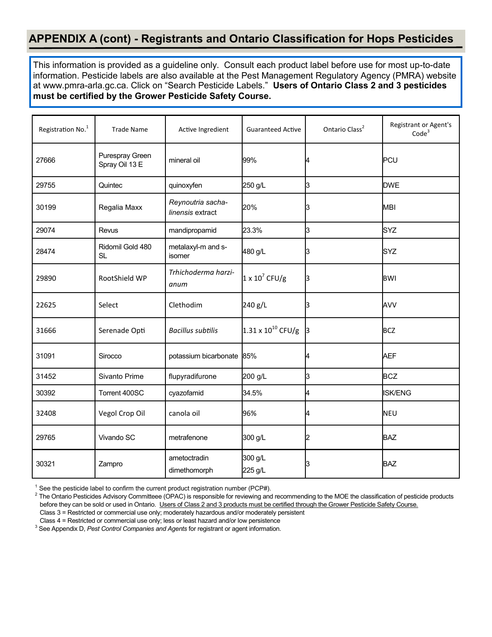#### **APPENDIX A (cont) - Registrants and Ontario Classification for Hops Pesticides**

This information is provided as a guideline only. Consult each product label before use for most up-to-date information. Pesticide labels are also available at the Pest Management Regulatory Agency (PMRA) website at [www.pmra](http://www.pmra-arla.gc.ca)-arla.gc.ca. Click on "Search Pesticide Labels." **Users of Ontario Class 2 and 3 pesticides must be certified by the Grower Pesticide Safety Course.**

| Registration No. <sup>1</sup> | <b>Trade Name</b>                 | Active Ingredient                     | <b>Guaranteed Active</b>    | Ontario Class <sup>2</sup> | Registrant or Agent's<br>Code <sup>3</sup> |
|-------------------------------|-----------------------------------|---------------------------------------|-----------------------------|----------------------------|--------------------------------------------|
| 27666                         | Purespray Green<br>Spray Oil 13 E | mineral oil                           | 99%                         |                            | PCU                                        |
| 29755                         | Quintec                           | quinoxyfen                            | 250 g/L                     | 13                         | <b>DWE</b>                                 |
| 30199                         | Regalia Maxx                      | Reynoutria sacha-<br>linensis extract | 20%                         | B                          | <b>MBI</b>                                 |
| 29074                         | Revus                             | mandipropamid                         | 23.3%                       | IЗ                         | <b>SYZ</b>                                 |
| 28474                         | Ridomil Gold 480<br><b>SL</b>     | metalaxyl-m and s-<br>isomer          | 480 g/L                     | 13                         | SYZ                                        |
| 29890                         | RootShield WP                     | Trhichoderma harzi-<br>anum           | $1 \times 10^7$ CFU/g       | B                          | <b>BWI</b>                                 |
| 22625                         | Select                            | Clethodim                             | 240 g/L                     | B                          | AVV                                        |
| 31666                         | Serenade Opti                     | <b>Bacillus subtilis</b>              | $1.31 \times 10^{10}$ CFU/g | B                          | <b>BCZ</b>                                 |
| 31091                         | Sirocco                           | potassium bicarbonate                 | 85%                         | 4                          | <b>AEF</b>                                 |
| 31452                         | Sivanto Prime                     | flupyradifurone                       | 200 g/L                     | IЗ                         | <b>BCZ</b>                                 |
| 30392                         | Torrent 400SC                     | cyazofamid                            | 34.5%                       | 4                          | <b>ISK/ENG</b>                             |
| 32408                         | Vegol Crop Oil                    | canola oil                            | 96%                         | 4                          | <b>NEU</b>                                 |
| 29765                         | Vivando SC                        | metrafenone                           | 300 g/L                     | 12                         | <b>BAZ</b>                                 |
| 30321                         | Zampro                            | ametoctradin<br>dimethomorph          | 300 g/L<br>225 g/L          | ß                          | <b>BAZ</b>                                 |

 $1$  See the pesticide label to confirm the current product registration number (PCP#).

<sup>3</sup> See Appendix D, *Pest Control Companies and Agents* for registrant or agent information.

 $^2$  The Ontario Pesticides Advisory Committeee (OPAC) is responsible for reviewing and recommending to the MOE the classification of pesticide products before they can be sold or used in Ontario. Users of Class 2 and 3 products must be certified through the Grower Pesticide Safety Course. Class 3 = Restricted or commercial use only; moderately hazardous and/or moderately persistent

Class 4 = Restricted or commercial use only; less or least hazard and/or low persistence